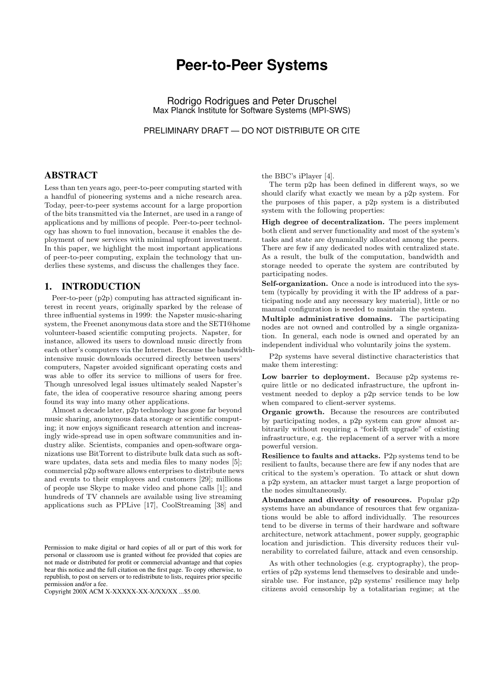# **Peer-to-Peer Systems**

Rodrigo Rodrigues and Peter Druschel Max Planck Institute for Software Systems (MPI-SWS)

PRELIMINARY DRAFT — DO NOT DISTRIBUTE OR CITE

## ABSTRACT

Less than ten years ago, peer-to-peer computing started with a handful of pioneering systems and a niche research area. Today, peer-to-peer systems account for a large proportion of the bits transmitted via the Internet, are used in a range of applications and by millions of people. Peer-to-peer technology has shown to fuel innovation, because it enables the deployment of new services with minimal upfront investment. In this paper, we highlight the most important applications of peer-to-peer computing, explain the technology that underlies these systems, and discuss the challenges they face.

## 1. INTRODUCTION

Peer-to-peer (p2p) computing has attracted significant interest in recent years, originally sparked by the release of three influential systems in 1999: the Napster music-sharing system, the Freenet anonymous data store and the SETI@home volunteer-based scientific computing projects. Napster, for instance, allowed its users to download music directly from each other's computers via the Internet. Because the bandwidthintensive music downloads occurred directly between users' computers, Napster avoided significant operating costs and was able to offer its service to millions of users for free. Though unresolved legal issues ultimately sealed Napster's fate, the idea of cooperative resource sharing among peers found its way into many other applications.

Almost a decade later, p2p technology has gone far beyond music sharing, anonymous data storage or scientific computing; it now enjoys significant research attention and increasingly wide-spread use in open software communities and industry alike. Scientists, companies and open-software organizations use BitTorrent to distribute bulk data such as software updates, data sets and media files to many nodes [5]; commercial p2p software allows enterprises to distribute news and events to their employees and customers [29]; millions of people use Skype to make video and phone calls [1]; and hundreds of TV channels are available using live streaming applications such as PPLive [17], CoolStreaming [38] and

the BBC's iPlayer [4].

The term p2p has been defined in different ways, so we should clarify what exactly we mean by a p2p system. For the purposes of this paper, a p2p system is a distributed system with the following properties:

High degree of decentralization. The peers implement both client and server functionality and most of the system's tasks and state are dynamically allocated among the peers. There are few if any dedicated nodes with centralized state. As a result, the bulk of the computation, bandwidth and storage needed to operate the system are contributed by participating nodes.

Self-organization. Once a node is introduced into the system (typically by providing it with the IP address of a participating node and any necessary key material), little or no manual configuration is needed to maintain the system.

Multiple administrative domains. The participating nodes are not owned and controlled by a single organization. In general, each node is owned and operated by an independent individual who voluntarily joins the system.

P2p systems have several distinctive characteristics that make them interesting:

Low barrier to deployment. Because p2p systems require little or no dedicated infrastructure, the upfront investment needed to deploy a p2p service tends to be low when compared to client-server systems.

Organic growth. Because the resources are contributed by participating nodes, a p2p system can grow almost arbitrarily without requiring a "fork-lift upgrade" of existing infrastructure, e.g. the replacement of a server with a more powerful version.

Resilience to faults and attacks. P2p systems tend to be resilient to faults, because there are few if any nodes that are critical to the system's operation. To attack or shut down a p2p system, an attacker must target a large proportion of the nodes simultaneously.

Abundance and diversity of resources. Popular p2p systems have an abundance of resources that few organizations would be able to afford individually. The resources tend to be diverse in terms of their hardware and software architecture, network attachment, power supply, geographic location and jurisdiction. This diversity reduces their vulnerability to correlated failure, attack and even censorship.

As with other technologies (e.g. cryptography), the properties of p2p systems lend themselves to desirable and undesirable use. For instance, p2p systems' resilience may help citizens avoid censorship by a totalitarian regime; at the

Permission to make digital or hard copies of all or part of this work for personal or classroom use is granted without fee provided that copies are not made or distributed for profit or commercial advantage and that copies bear this notice and the full citation on the first page. To copy otherwise, to republish, to post on servers or to redistribute to lists, requires prior specific permission and/or a fee.

Copyright 200X ACM X-XXXXX-XX-X/XX/XX ...\$5.00.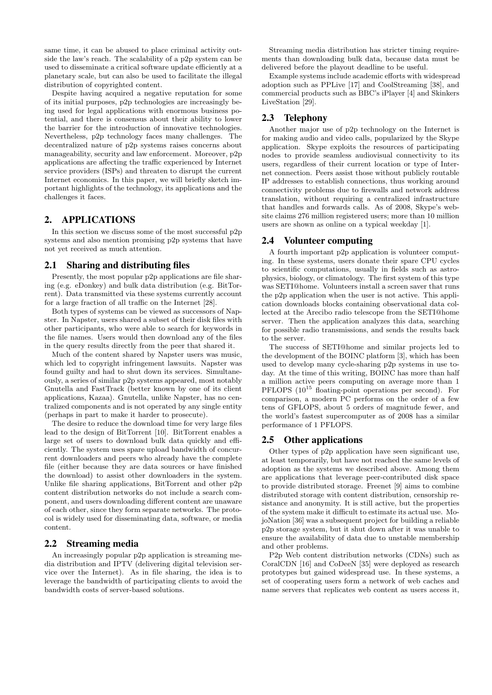same time, it can be abused to place criminal activity outside the law's reach. The scalability of a p2p system can be used to disseminate a critical software update efficiently at a planetary scale, but can also be used to facilitate the illegal distribution of copyrighted content.

Despite having acquired a negative reputation for some of its initial purposes, p2p technologies are increasingly being used for legal applications with enormous business potential, and there is consensus about their ability to lower the barrier for the introduction of innovative technologies. Nevertheless, p2p technology faces many challenges. The decentralized nature of p2p systems raises concerns about manageability, security and law enforcement. Moreover, p2p applications are affecting the traffic experienced by Internet service providers (ISPs) and threaten to disrupt the current Internet economics. In this paper, we will briefly sketch important highlights of the technology, its applications and the challenges it faces.

## 2. APPLICATIONS

In this section we discuss some of the most successful p2p systems and also mention promising p2p systems that have not yet received as much attention.

## 2.1 Sharing and distributing files

Presently, the most popular p2p applications are file sharing (e.g. eDonkey) and bulk data distribution (e.g. BitTorrent). Data transmitted via these systems currently account for a large fraction of all traffic on the Internet [28].

Both types of systems can be viewed as successors of Napster. In Napster, users shared a subset of their disk files with other participants, who were able to search for keywords in the file names. Users would then download any of the files in the query results directly from the peer that shared it.

Much of the content shared by Napster users was music, which led to copyright infringement lawsuits. Napster was found guilty and had to shut down its services. Simultaneously, a series of similar p2p systems appeared, most notably Gnutella and FastTrack (better known by one of its client applications, Kazaa). Gnutella, unlike Napster, has no centralized components and is not operated by any single entity (perhaps in part to make it harder to prosecute).

The desire to reduce the download time for very large files lead to the design of BitTorrent [10]. BitTorrent enables a large set of users to download bulk data quickly and efficiently. The system uses spare upload bandwidth of concurrent downloaders and peers who already have the complete file (either because they are data sources or have finished the download) to assist other downloaders in the system. Unlike file sharing applications, BitTorrent and other p2p content distribution networks do not include a search component, and users downloading different content are unaware of each other, since they form separate networks. The protocol is widely used for disseminating data, software, or media content.

## 2.2 Streaming media

An increasingly popular p2p application is streaming media distribution and IPTV (delivering digital television service over the Internet). As in file sharing, the idea is to leverage the bandwidth of participating clients to avoid the bandwidth costs of server-based solutions.

Streaming media distribution has stricter timing requirements than downloading bulk data, because data must be delivered before the playout deadline to be useful.

Example systems include academic efforts with widespread adoption such as PPLive [17] and CoolStreaming [38], and commercial products such as BBC's iPlayer [4] and Skinkers LiveStation [29].

## 2.3 Telephony

Another major use of p2p technology on the Internet is for making audio and video calls, popularized by the Skype application. Skype exploits the resources of participating nodes to provide seamless audiovisual connectivity to its users, regardless of their current location or type of Internet connection. Peers assist those without publicly routable IP addresses to establish connections, thus working around connectivity problems due to firewalls and network address translation, without requiring a centralized infrastructure that handles and forwards calls. As of 2008, Skype's website claims 276 million registered users; more than 10 million users are shown as online on a typical weekday [1].

## 2.4 Volunteer computing

A fourth important p2p application is volunteer computing. In these systems, users donate their spare CPU cycles to scientific computations, usually in fields such as astrophysics, biology, or climatology. The first system of this type was SETI@home. Volunteers install a screen saver that runs the p2p application when the user is not active. This application downloads blocks containing observational data collected at the Arecibo radio telescope from the SETI@home server. Then the application analyzes this data, searching for possible radio transmissions, and sends the results back to the server.

The success of SETI@home and similar projects led to the development of the BOINC platform [3], which has been used to develop many cycle-sharing p2p systems in use today. At the time of this writing, BOINC has more than half a million active peers computing on average more than 1 PFLOPS (10<sup>15</sup> floating-point operations per second). For comparison, a modern PC performs on the order of a few tens of GFLOPS, about 5 orders of magnitude fewer, and the world's fastest supercomputer as of 2008 has a similar performance of 1 PFLOPS.

## 2.5 Other applications

Other types of p2p application have seen significant use, at least temporarily, but have not reached the same levels of adoption as the systems we described above. Among them are applications that leverage peer-contributed disk space to provide distributed storage. Freenet [9] aims to combine distributed storage with content distribution, censorship resistance and anonymity. It is still active, but the properties of the system make it difficult to estimate its actual use. MojoNation [36] was a subsequent project for building a reliable p2p storage system, but it shut down after it was unable to ensure the availability of data due to unstable membership and other problems.

P2p Web content distribution networks (CDNs) such as CoralCDN [16] and CoDeeN [35] were deployed as research prototypes but gained widespread use. In these systems, a set of cooperating users form a network of web caches and name servers that replicates web content as users access it,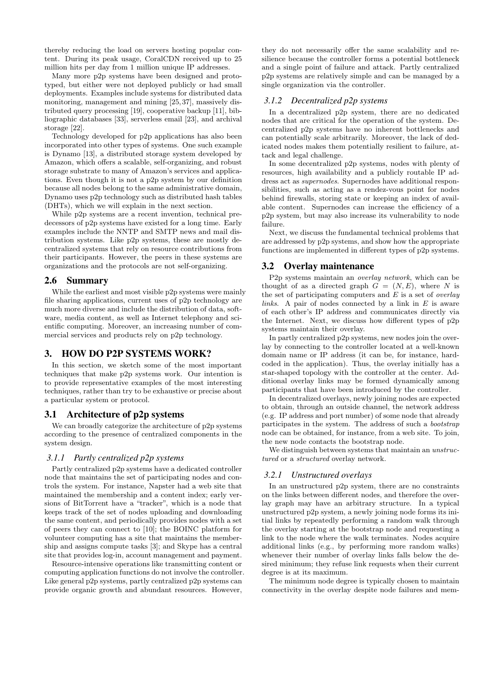thereby reducing the load on servers hosting popular content. During its peak usage, CoralCDN received up to 25 million hits per day from 1 million unique IP addresses.

Many more p2p systems have been designed and prototyped, but either were not deployed publicly or had small deployments. Examples include systems for distributed data monitoring, management and mining [25, 37], massively distributed query processing [19], cooperative backup [11], bibliographic databases [33], serverless email [23], and archival storage [22].

Technology developed for p2p applications has also been incorporated into other types of systems. One such example is Dynamo [13], a distributed storage system developed by Amazon, which offers a scalable, self-organizing, and robust storage substrate to many of Amazon's services and applications. Even though it is not a p2p system by our definition because all nodes belong to the same administrative domain, Dynamo uses p2p technology such as distributed hash tables (DHTs), which we will explain in the next section.

While p2p systems are a recent invention, technical predecessors of p2p systems have existed for a long time. Early examples include the NNTP and SMTP news and mail distribution systems. Like p2p systems, these are mostly decentralized systems that rely on resource contributions from their participants. However, the peers in these systems are organizations and the protocols are not self-organizing.

## 2.6 Summary

While the earliest and most visible p2p systems were mainly file sharing applications, current uses of p2p technology are much more diverse and include the distribution of data, software, media content, as well as Internet telephony and scientific computing. Moreover, an increasing number of commercial services and products rely on p2p technology.

## 3. HOW DO P2P SYSTEMS WORK?

In this section, we sketch some of the most important techniques that make p2p systems work. Our intention is to provide representative examples of the most interesting techniques, rather than try to be exhaustive or precise about a particular system or protocol.

## 3.1 Architecture of p2p systems

We can broadly categorize the architecture of p2p systems according to the presence of centralized components in the system design.

## *3.1.1 Partly centralized p2p systems*

Partly centralized p2p systems have a dedicated controller node that maintains the set of participating nodes and controls the system. For instance, Napster had a web site that maintained the membership and a content index; early versions of BitTorrent have a "tracker", which is a node that keeps track of the set of nodes uploading and downloading the same content, and periodically provides nodes with a set of peers they can connect to [10]; the BOINC platform for volunteer computing has a site that maintains the membership and assigns compute tasks [3]; and Skype has a central site that provides log-in, account management and payment.

Resource-intensive operations like transmitting content or computing application functions do not involve the controller. Like general p2p systems, partly centralized p2p systems can provide organic growth and abundant resources. However,

they do not necessarily offer the same scalability and resilience because the controller forms a potential bottleneck and a single point of failure and attack. Partly centralized p2p systems are relatively simple and can be managed by a single organization via the controller.

#### *3.1.2 Decentralized p2p systems*

In a decentralized p2p system, there are no dedicated nodes that are critical for the operation of the system. Decentralized p2p systems have no inherent bottlenecks and can potentially scale arbitrarily. Moreover, the lack of dedicated nodes makes them potentially resilient to failure, attack and legal challenge.

In some decentralized p2p systems, nodes with plenty of resources, high availability and a publicly routable IP address act as supernodes. Supernodes have additional responsibilities, such as acting as a rendez-vous point for nodes behind firewalls, storing state or keeping an index of available content. Supernodes can increase the efficiency of a p2p system, but may also increase its vulnerability to node failure.

Next, we discuss the fundamental technical problems that are addressed by p2p systems, and show how the appropriate functions are implemented in different types of p2p systems.

## 3.2 Overlay maintenance

P2p systems maintain an overlay network, which can be thought of as a directed graph  $G = (N, E)$ , where N is the set of participating computers and  $E$  is a set of *overlay* links. A pair of nodes connected by a link in  $E$  is aware of each other's IP address and communicates directly via the Internet. Next, we discuss how different types of p2p systems maintain their overlay.

In partly centralized p2p systems, new nodes join the overlay by connecting to the controller located at a well-known domain name or IP address (it can be, for instance, hardcoded in the application). Thus, the overlay initially has a star-shaped topology with the controller at the center. Additional overlay links may be formed dynamically among participants that have been introduced by the controller.

In decentralized overlays, newly joining nodes are expected to obtain, through an outside channel, the network address (e.g. IP address and port number) of some node that already participates in the system. The address of such a bootstrap node can be obtained, for instance, from a web site. To join, the new node contacts the bootstrap node.

We distinguish between systems that maintain an *unstruc*tured or a structured overlay network.

#### *3.2.1 Unstructured overlays*

In an unstructured p2p system, there are no constraints on the links between different nodes, and therefore the overlay graph may have an arbitrary structure. In a typical unstructured p2p system, a newly joining node forms its initial links by repeatedly performing a random walk through the overlay starting at the bootstrap node and requesting a link to the node where the walk terminates. Nodes acquire additional links (e.g., by performing more random walks) whenever their number of overlay links falls below the desired minimum; they refuse link requests when their current degree is at its maximum.

The minimum node degree is typically chosen to maintain connectivity in the overlay despite node failures and mem-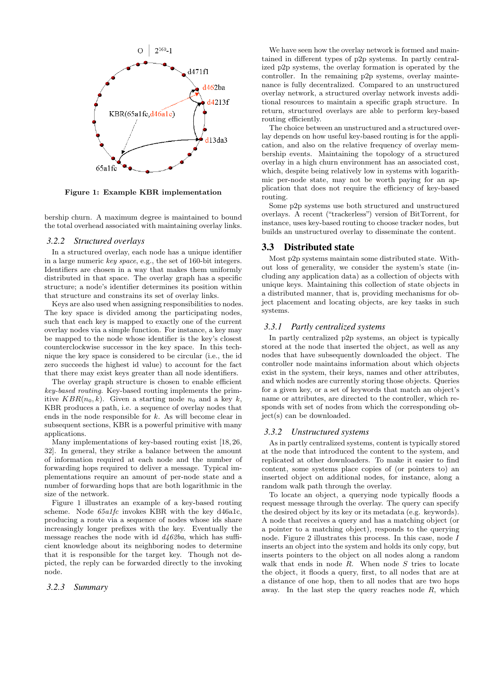

Figure 1: Example KBR implementation

bership churn. A maximum degree is maintained to bound the total overhead associated with maintaining overlay links.

#### *3.2.2 Structured overlays*

In a structured overlay, each node has a unique identifier in a large numeric key space, e.g., the set of 160-bit integers. Identifiers are chosen in a way that makes them uniformly distributed in that space. The overlay graph has a specific structure; a node's identifier determines its position within that structure and constrains its set of overlay links.

Keys are also used when assigning responsibilities to nodes. The key space is divided among the participating nodes, such that each key is mapped to exactly one of the current overlay nodes via a simple function. For instance, a key may be mapped to the node whose identifier is the key's closest counterclockwise successor in the key space. In this technique the key space is considered to be circular (i.e., the id zero succeeds the highest id value) to account for the fact that there may exist keys greater than all node identifiers.

The overlay graph structure is chosen to enable efficient key-based routing. Key-based routing implements the primitive  $KBR(n_0, k)$ . Given a starting node  $n_0$  and a key k, KBR produces a path, i.e. a sequence of overlay nodes that ends in the node responsible for k. As will become clear in subsequent sections, KBR is a powerful primitive with many applications.

Many implementations of key-based routing exist [18, 26, 32]. In general, they strike a balance between the amount of information required at each node and the number of forwarding hops required to deliver a message. Typical implementations require an amount of per-node state and a number of forwarding hops that are both logarithmic in the size of the network.

Figure 1 illustrates an example of a key-based routing scheme. Node 65a1fc invokes KBR with the key d46a1c, producing a route via a sequence of nodes whose ids share increasingly longer prefixes with the key. Eventually the message reaches the node with id  $d462ba$ , which has sufficient knowledge about its neighboring nodes to determine that it is responsible for the target key. Though not depicted, the reply can be forwarded directly to the invoking node.

## *3.2.3 Summary*

We have seen how the overlay network is formed and maintained in different types of p2p systems. In partly centralized p2p systems, the overlay formation is operated by the controller. In the remaining p2p systems, overlay maintenance is fully decentralized. Compared to an unstructured overlay network, a structured overlay network invests additional resources to maintain a specific graph structure. In return, structured overlays are able to perform key-based routing efficiently.

The choice between an unstructured and a structured overlay depends on how useful key-based routing is for the application, and also on the relative frequency of overlay membership events. Maintaining the topology of a structured overlay in a high churn environment has an associated cost, which, despite being relatively low in systems with logarithmic per-node state, may not be worth paying for an application that does not require the efficiency of key-based routing.

Some p2p systems use both structured and unstructured overlays. A recent ("trackerless") version of BitTorrent, for instance, uses key-based routing to choose tracker nodes, but builds an unstructured overlay to disseminate the content.

## 3.3 Distributed state

Most p2p systems maintain some distributed state. Without loss of generality, we consider the system's state (including any application data) as a collection of objects with unique keys. Maintaining this collection of state objects in a distributed manner, that is, providing mechanisms for object placement and locating objects, are key tasks in such systems.

#### *3.3.1 Partly centralized systems*

In partly centralized p2p systems, an object is typically stored at the node that inserted the object, as well as any nodes that have subsequently downloaded the object. The controller node maintains information about which objects exist in the system, their keys, names and other attributes, and which nodes are currently storing those objects. Queries for a given key, or a set of keywords that match an object's name or attributes, are directed to the controller, which responds with set of nodes from which the corresponding object(s) can be downloaded.

#### *3.3.2 Unstructured systems*

As in partly centralized systems, content is typically stored at the node that introduced the content to the system, and replicated at other downloaders. To make it easier to find content, some systems place copies of (or pointers to) an inserted object on additional nodes, for instance, along a random walk path through the overlay.

To locate an object, a querying node typically floods a request message through the overlay. The query can specify the desired object by its key or its metadata (e.g. keywords). A node that receives a query and has a matching object (or a pointer to a matching object), responds to the querying node. Figure 2 illustrates this process. In this case, node I inserts an object into the system and holds its only copy, but inserts pointers to the object on all nodes along a random walk that ends in node  $R$ . When node  $S$  tries to locate the object, it floods a query, first, to all nodes that are at a distance of one hop, then to all nodes that are two hops away. In the last step the query reaches node  $R$ , which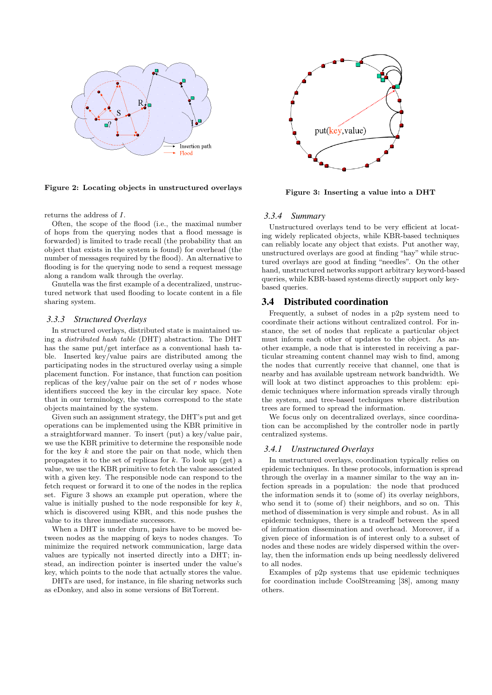

Figure 2: Locating objects in unstructured overlays

returns the address of I.

Often, the scope of the flood (i.e., the maximal number of hops from the querying nodes that a flood message is forwarded) is limited to trade recall (the probability that an object that exists in the system is found) for overhead (the number of messages required by the flood). An alternative to flooding is for the querying node to send a request message along a random walk through the overlay.

Gnutella was the first example of a decentralized, unstructured network that used flooding to locate content in a file sharing system.

## *3.3.3 Structured Overlays*

In structured overlays, distributed state is maintained using a distributed hash table (DHT) abstraction. The DHT has the same put/get interface as a conventional hash table. Inserted key/value pairs are distributed among the participating nodes in the structured overlay using a simple placement function. For instance, that function can position replicas of the key/value pair on the set of  $r$  nodes whose identifiers succeed the key in the circular key space. Note that in our terminology, the values correspond to the state objects maintained by the system.

Given such an assignment strategy, the DHT's put and get operations can be implemented using the KBR primitive in a straightforward manner. To insert (put) a key/value pair, we use the KBR primitive to determine the responsible node for the key  $k$  and store the pair on that node, which then propagates it to the set of replicas for  $k$ . To look up (get) a value, we use the KBR primitive to fetch the value associated with a given key. The responsible node can respond to the fetch request or forward it to one of the nodes in the replica set. Figure 3 shows an example put operation, where the value is initially pushed to the node responsible for key  $k$ . which is discovered using KBR, and this node pushes the value to its three immediate successors.

When a DHT is under churn, pairs have to be moved between nodes as the mapping of keys to nodes changes. To minimize the required network communication, large data values are typically not inserted directly into a DHT; instead, an indirection pointer is inserted under the value's key, which points to the node that actually stores the value.

DHTs are used, for instance, in file sharing networks such as eDonkey, and also in some versions of BitTorrent.



Figure 3: Inserting a value into a DHT

#### *3.3.4 Summary*

Unstructured overlays tend to be very efficient at locating widely replicated objects, while KBR-based techniques can reliably locate any object that exists. Put another way, unstructured overlays are good at finding "hay" while structured overlays are good at finding "needles". On the other hand, unstructured networks support arbitrary keyword-based queries, while KBR-based systems directly support only keybased queries.

## 3.4 Distributed coordination

Frequently, a subset of nodes in a p2p system need to coordinate their actions without centralized control. For instance, the set of nodes that replicate a particular object must inform each other of updates to the object. As another example, a node that is interested in receiving a particular streaming content channel may wish to find, among the nodes that currently receive that channel, one that is nearby and has available upstream network bandwidth. We will look at two distinct approaches to this problem: epidemic techniques where information spreads virally through the system, and tree-based techniques where distribution trees are formed to spread the information.

We focus only on decentralized overlays, since coordination can be accomplished by the controller node in partly centralized systems.

#### *3.4.1 Unstructured Overlays*

In unstructured overlays, coordination typically relies on epidemic techniques. In these protocols, information is spread through the overlay in a manner similar to the way an infection spreads in a population: the node that produced the information sends it to (some of) its overlay neighbors, who send it to (some of) their neighbors, and so on. This method of dissemination is very simple and robust. As in all epidemic techniques, there is a tradeoff between the speed of information dissemination and overhead. Moreover, if a given piece of information is of interest only to a subset of nodes and these nodes are widely dispersed within the overlay, then the information ends up being needlessly delivered to all nodes.

Examples of p2p systems that use epidemic techniques for coordination include CoolStreaming [38], among many others.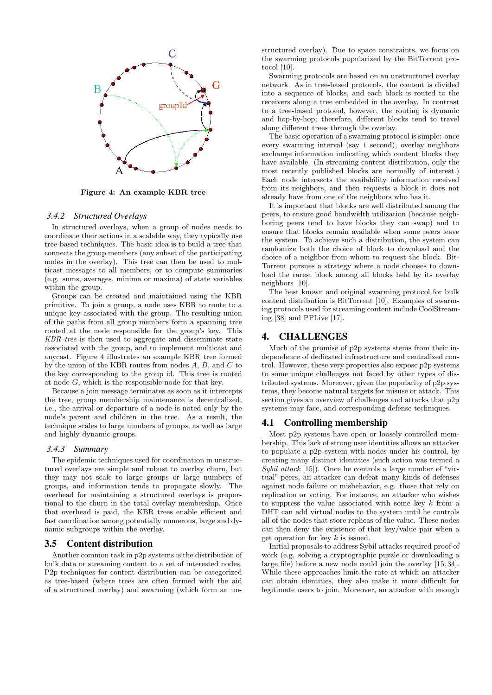

Figure 4: An example KBR tree

## *3.4.2 Structured Overlays*

In structured overlays, when a group of nodes needs to coordinate their actions in a scalable way, they typically use tree-based techniques. The basic idea is to build a tree that connects the group members (any subset of the participating nodes in the overlay). This tree can then be used to multicast messages to all members, or to compute summaries (e.g. sums, averages, minima or maxima) of state variables within the group.

Groups can be created and maintained using the KBR primitive. To join a group, a node uses KBR to route to a unique key associated with the group. The resulting union of the paths from all group members form a spanning tree rooted at the node responsible for the group's key. This KBR tree is then used to aggregate and disseminate state associated with the group, and to implement multicast and anycast. Figure 4 illustrates an example KBR tree formed by the union of the KBR routes from nodes  $A, B$ , and  $C$  to the key corresponding to the group id. This tree is rooted at node  $G$ , which is the responsible node for that key.

Because a join message terminates as soon as it intercepts the tree, group membership maintenance is decentralized, i.e., the arrival or departure of a node is noted only by the node's parent and children in the tree. As a result, the technique scales to large numbers of groups, as well as large and highly dynamic groups.

#### *3.4.3 Summary*

The epidemic techniques used for coordination in unstructured overlays are simple and robust to overlay churn, but they may not scale to large groups or large numbers of groups, and information tends to propagate slowly. The overhead for maintaining a structured overlays is proportional to the churn in the total overlay membership. Once that overhead is paid, the KBR trees enable efficient and fast coordination among potentially numerous, large and dynamic subgroups within the overlay.

## 3.5 Content distribution

Another common task in p2p systems is the distribution of bulk data or streaming content to a set of interested nodes. P2p techniques for content distribution can be categorized as tree-based (where trees are often formed with the aid of a structured overlay) and swarming (which form an unstructured overlay). Due to space constraints, we focus on the swarming protocols popularized by the BitTorrent protocol [10].

Swarming protocols are based on an unstructured overlay network. As in tree-based protocols, the content is divided into a sequence of blocks, and each block is routed to the receivers along a tree embedded in the overlay. In contrast to a tree-based protocol, however, the routing is dynamic and hop-by-hop; therefore, different blocks tend to travel along different trees through the overlay.

The basic operation of a swarming protocol is simple: once every swarming interval (say 1 second), overlay neighbors exchange information indicating which content blocks they have available. (In streaming content distribution, only the most recently published blocks are normally of interest.) Each node intersects the availability information received from its neighbors, and then requests a block it does not already have from one of the neighbors who has it.

It is important that blocks are well distributed among the peers, to ensure good bandwidth utilization (because neighboring peers tend to have blocks they can swap) and to ensure that blocks remain available when some peers leave the system. To achieve such a distribution, the system can randomize both the choice of block to download and the choice of a neighbor from whom to request the block. Bit-Torrent pursues a strategy where a node chooses to download the rarest block among all blocks held by its overlay neighbors [10].

The best known and original swarming protocol for bulk content distribution is BitTorrent [10]. Examples of swarming protocols used for streaming content include CoolStreaming [38] and PPLive [17].

## 4. CHALLENGES

Much of the promise of p2p systems stems from their independence of dedicated infrastructure and centralized control. However, these very properties also expose p2p systems to some unique challenges not faced by other types of distributed systems. Moreover, given the popularity of p2p systems, they become natural targets for misuse or attack. This section gives an overview of challenges and attacks that p2p systems may face, and corresponding defense techniques.

## 4.1 Controlling membership

Most p2p systems have open or loosely controlled membership. This lack of strong user identities allows an attacker to populate a p2p system with nodes under his control, by creating many distinct identities (such action was termed a Sybil attack  $[15]$ . Once he controls a large number of "virtual" peers, an attacker can defeat many kinds of defenses against node failure or misbehavior, e.g. those that rely on replication or voting. For instance, an attacker who wishes to suppress the value associated with some key k from a DHT can add virtual nodes to the system until he controls all of the nodes that store replicas of the value. These nodes can then deny the existence of that key/value pair when a get operation for key  $k$  is issued.

Initial proposals to address Sybil attacks required proof of work (e.g. solving a cryptographic puzzle or downloading a large file) before a new node could join the overlay [15, 34]. While these approaches limit the rate at which an attacker can obtain identities, they also make it more difficult for legitimate users to join. Moreover, an attacker with enough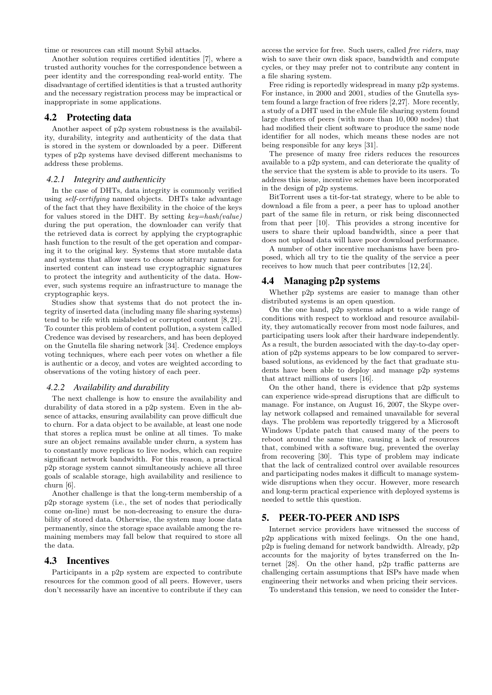time or resources can still mount Sybil attacks.

Another solution requires certified identities [7], where a trusted authority vouches for the correspondence between a peer identity and the corresponding real-world entity. The disadvantage of certified identities is that a trusted authority and the necessary registration process may be impractical or inappropriate in some applications.

## 4.2 Protecting data

Another aspect of p2p system robustness is the availability, durability, integrity and authenticity of the data that is stored in the system or downloaded by a peer. Different types of p2p systems have devised different mechanisms to address these problems.

#### *4.2.1 Integrity and authenticity*

In the case of DHTs, data integrity is commonly verified using self-certifying named objects. DHTs take advantage of the fact that they have flexibility in the choice of the keys for values stored in the DHT. By setting  $key = hash(value)$ during the put operation, the downloader can verify that the retrieved data is correct by applying the cryptographic hash function to the result of the get operation and comparing it to the original key. Systems that store mutable data and systems that allow users to choose arbitrary names for inserted content can instead use cryptographic signatures to protect the integrity and authenticity of the data. However, such systems require an infrastructure to manage the cryptographic keys.

Studies show that systems that do not protect the integrity of inserted data (including many file sharing systems) tend to be rife with mislabeled or corrupted content [8, 21]. To counter this problem of content pollution, a system called Credence was devised by researchers, and has been deployed on the Gnutella file sharing network [34]. Credence employs voting techniques, where each peer votes on whether a file is authentic or a decoy, and votes are weighted according to observations of the voting history of each peer.

#### *4.2.2 Availability and durability*

The next challenge is how to ensure the availability and durability of data stored in a p2p system. Even in the absence of attacks, ensuring availability can prove difficult due to churn. For a data object to be available, at least one node that stores a replica must be online at all times. To make sure an object remains available under churn, a system has to constantly move replicas to live nodes, which can require significant network bandwidth. For this reason, a practical p2p storage system cannot simultaneously achieve all three goals of scalable storage, high availability and resilience to churn [6].

Another challenge is that the long-term membership of a p2p storage system (i.e., the set of nodes that periodically come on-line) must be non-decreasing to ensure the durability of stored data. Otherwise, the system may loose data permanently, since the storage space available among the remaining members may fall below that required to store all the data.

## 4.3 Incentives

Participants in a p2p system are expected to contribute resources for the common good of all peers. However, users don't necessarily have an incentive to contribute if they can

access the service for free. Such users, called free riders, may wish to save their own disk space, bandwidth and compute cycles, or they may prefer not to contribute any content in a file sharing system.

Free riding is reportedly widespread in many p2p systems. For instance, in 2000 and 2001, studies of the Gnutella system found a large fraction of free riders [2,27]. More recently, a study of a DHT used in the eMule file sharing system found large clusters of peers (with more than 10, 000 nodes) that had modified their client software to produce the same node identifier for all nodes, which means these nodes are not being responsible for any keys [31].

The presence of many free riders reduces the resources available to a p2p system, and can deteriorate the quality of the service that the system is able to provide to its users. To address this issue, incentive schemes have been incorporated in the design of p2p systems.

BitTorrent uses a tit-for-tat strategy, where to be able to download a file from a peer, a peer has to upload another part of the same file in return, or risk being disconnected from that peer [10]. This provides a strong incentive for users to share their upload bandwidth, since a peer that does not upload data will have poor download performance.

A number of other incentive mechanisms have been proposed, which all try to tie the quality of the service a peer receives to how much that peer contributes [12, 24].

#### 4.4 Managing p2p systems

Whether p2p systems are easier to manage than other distributed systems is an open question.

On the one hand, p2p systems adapt to a wide range of conditions with respect to workload and resource availability, they automatically recover from most node failures, and participating users look after their hardware independently. As a result, the burden associated with the day-to-day operation of p2p systems appears to be low compared to serverbased solutions, as evidenced by the fact that graduate students have been able to deploy and manage p2p systems that attract millions of users [16].

On the other hand, there is evidence that p2p systems can experience wide-spread disruptions that are difficult to manage. For instance, on August 16, 2007, the Skype overlay network collapsed and remained unavailable for several days. The problem was reportedly triggered by a Microsoft Windows Update patch that caused many of the peers to reboot around the same time, causing a lack of resources that, combined with a software bug, prevented the overlay from recovering [30]. This type of problem may indicate that the lack of centralized control over available resources and participating nodes makes it difficult to manage systemwide disruptions when they occur. However, more research and long-term practical experience with deployed systems is needed to settle this question.

## 5. PEER-TO-PEER AND ISPS

Internet service providers have witnessed the success of p2p applications with mixed feelings. On the one hand, p2p is fueling demand for network bandwidth. Already, p2p accounts for the majority of bytes transferred on the Internet [28]. On the other hand, p2p traffic patterns are challenging certain assumptions that ISPs have made when engineering their networks and when pricing their services.

To understand this tension, we need to consider the Inter-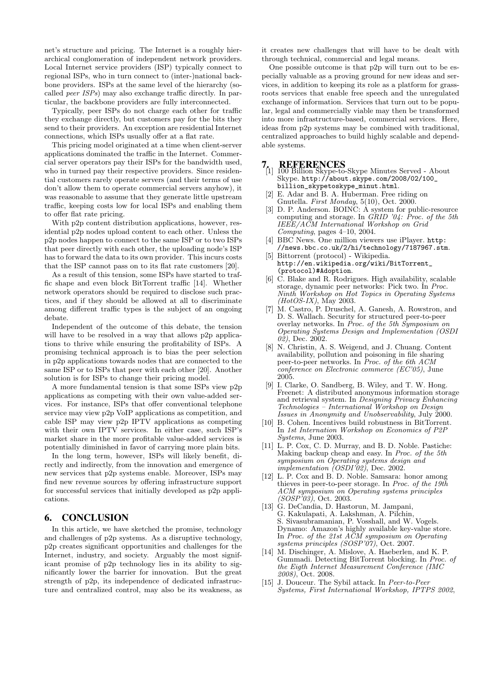net's structure and pricing. The Internet is a roughly hierarchical conglomeration of independent network providers. Local Internet service providers (ISP) typically connect to regional ISPs, who in turn connect to (inter-)national backbone providers. ISPs at the same level of the hierarchy (socalled peer ISPs) may also exchange traffic directly. In particular, the backbone providers are fully interconnected.

Typically, peer ISPs do not charge each other for traffic they exchange directly, but customers pay for the bits they send to their providers. An exception are residential Internet connections, which ISPs usually offer at a flat rate.

This pricing model originated at a time when client-server applications dominated the traffic in the Internet. Commercial server operators pay their ISPs for the bandwidth used, who in turned pay their respective providers. Since residential customers rarely operate servers (and their terms of use don't allow them to operate commercial servers anyhow), it was reasonable to assume that they generate little upstream traffic, keeping costs low for local ISPs and enabling them to offer flat rate pricing.

With p2p content distribution applications, however, residential p2p nodes upload content to each other. Unless the p2p nodes happen to connect to the same ISP or to two ISPs that peer directly with each other, the uploading node's ISP has to forward the data to its own provider. This incurs costs that the ISP cannot pass on to its flat rate customers [20].

As a result of this tension, some ISPs have started to traffic shape and even block BitTorrent traffic [14]. Whether network operators should be required to disclose such practices, and if they should be allowed at all to discriminate among different traffic types is the subject of an ongoing debate.

Independent of the outcome of this debate, the tension will have to be resolved in a way that allows p2p applications to thrive while ensuring the profitability of ISPs. A promising technical approach is to bias the peer selection in p2p applications towards nodes that are connected to the same ISP or to ISPs that peer with each other [20]. Another solution is for ISPs to change their pricing model.

A more fundamental tension is that some ISPs view p2p applications as competing with their own value-added services. For instance, ISPs that offer conventional telephone service may view p2p VoIP applications as competition, and cable ISP may view p2p IPTV applications as competing with their own IPTV services. In either case, such ISP's market share in the more profitable value-added services is potentially diminished in favor of carrying more plain bits.

In the long term, however, ISPs will likely benefit, directly and indirectly, from the innovation and emergence of new services that p2p systems enable. Moreover, ISPs may find new revenue sources by offering infrastructure support for successful services that initially developed as p2p applications.

## 6. CONCLUSION

In this article, we have sketched the promise, technology and challenges of p2p systems. As a disruptive technology, p2p creates significant opportunities and challenges for the Internet, industry, and society. Arguably the most significant promise of p2p technology lies in its ability to significantly lower the barrier for innovation. But the great strength of p2p, its independence of dedicated infrastructure and centralized control, may also be its weakness, as

it creates new challenges that will have to be dealt with through technical, commercial and legal means.

One possible outcome is that p2p will turn out to be especially valuable as a proving ground for new ideas and services, in addition to keeping its role as a platform for grassroots services that enable free speech and the unregulated exchange of information. Services that turn out to be popular, legal and commercially viable may then be transformed into more infrastructure-based, commercial services. Here, ideas from p2p systems may be combined with traditional, centralized approaches to build highly scalable and dependable systems.

- 7. REFERENCES<br>[1] 100 Billion Skype-to-Skype Minutes Served About Skype. http://about.skype.com/2008/02/100 billion\_skypetoskype\_minut.html.
- [2] E. Adar and B. A. Huberman. Free riding on Gnutella. First Monday, 5(10), Oct. 2000.
- [3] D. P. Anderson. BOINC: A system for public-resource computing and storage. In  $\ddot{GRID}$  '04: Proc. of the 5th IEEE/ACM International Workshop on Grid  $Computing,$  pages  $4\text{--}10,$   $2004.$
- [4] BBC News. One million viewers use iPlayer. http: //news.bbc.co.uk/2/hi/technology/7187967.stm.
- [5] Bittorrent (protocol) Wikipedia. http://en.wikipedia.org/wiki/BitTorrent\_ (protocol)#Adoption.
- [6] C. Blake and R. Rodrigues. High availability, scalable storage, dynamic peer networks: Pick two. In Proc. Ninth Workshop on Hot Topics in Operating Systems  $(HotOS-IX)$ , May 2003.
- [7] M. Castro, P. Druschel, A. Ganesh, A. Rowstron, and D. S. Wallach. Security for structured peer-to-peer overlay networks. In Proc. of the 5th Symposium on Operating Systems Design and Implementation (OSDI 02), Dec. 2002.
- [8] N. Christin, A. S. Weigend, and J. Chuang. Content availability, pollution and poisoning in file sharing peer-to-peer networks. In Proc. of the 6th ACM conference on Electronic commerce (EC'05), June 2005.
- [9] I. Clarke, O. Sandberg, B. Wiley, and T. W. Hong. Freenet: A distributed anonymous information storage and retrieval system. In Designing Privacy Enhancing Technologies – International Workshop on Design Issues in Anonymity and Unobservability, July 2000.
- [10] B. Cohen. Incentives build robustness in BitTorrent. In 1st Internation Workshop on Economics of P2P Systems, June 2003.
- [11] L. P. Cox, C. D. Murray, and B. D. Noble. Pastiche: Making backup cheap and easy. In Proc. of the 5th symposium on Operating systems design and implementation (OSDI'02), Dec. 2002.
- [12] L. P. Cox and B. D. Noble. Samsara: honor among thieves in peer-to-peer storage. In Proc. of the 19th ACM symposium on Operating systems principles (SOSP'03), Oct. 2003.
- [13] G. DeCandia, D. Hastorun, M. Jampani, G. Kakulapati, A. Lakshman, A. Pilchin, S. Sivasubramanian, P. Vosshall, and W. Vogels. Dynamo: Amazon's highly available key-value store. In Proc. of the 21st ACM symposium on Operating systems principles (SOSP'07), Oct. 2007.
- [14] M. Dischinger, A. Mislove, A. Haeberlen, and K. P. Gummadi. Detecting BitTorrent blocking. In Proc. of the Eigth Internet Measurement Conference (IMC 2008), Oct. 2008.
- [15] J. Douceur. The Sybil attack. In Peer-to-Peer Systems, First International Workshop, IPTPS 2002,